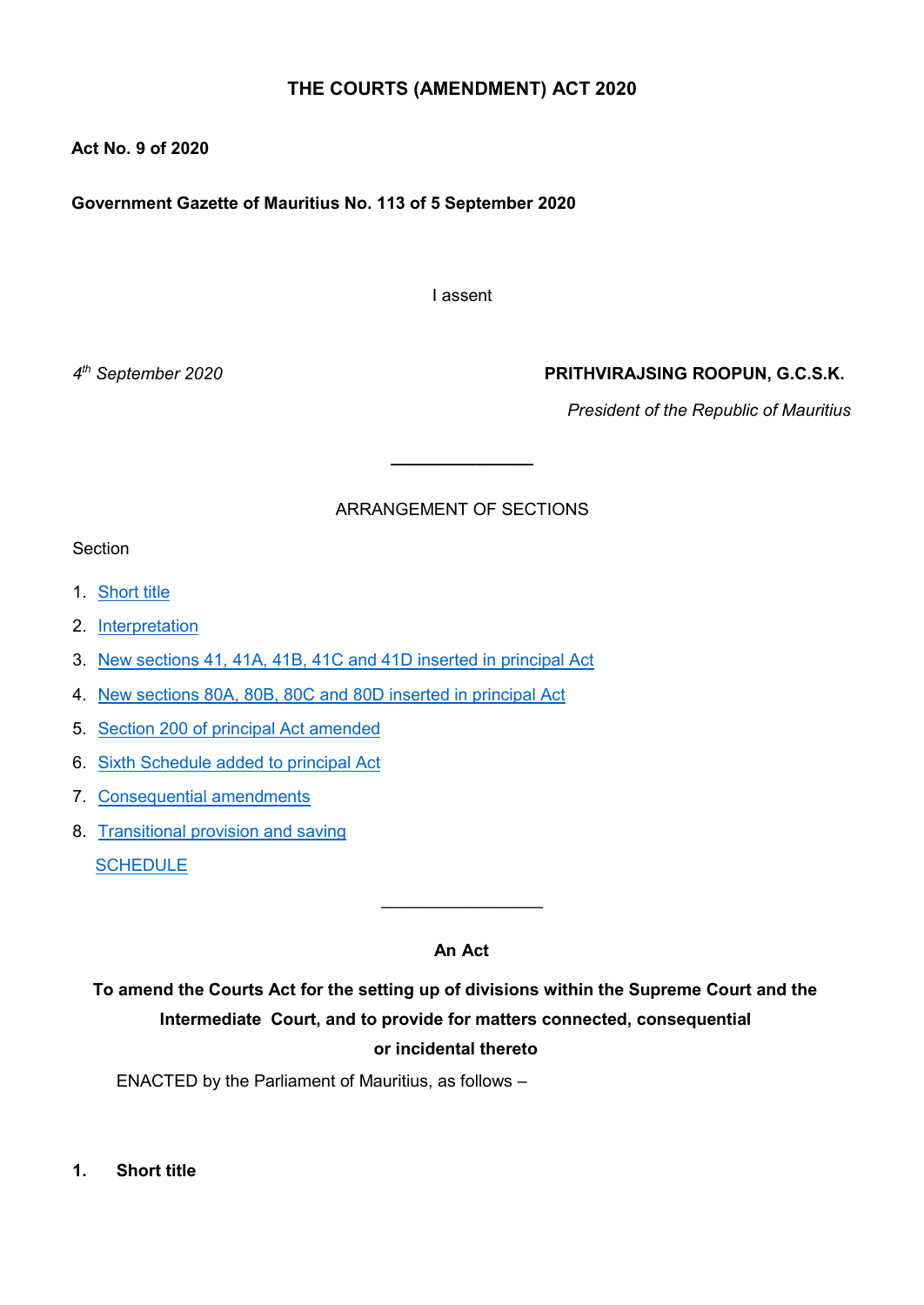# **THE COURTS (AMENDMENT) ACT 2020**

## **Act No. 9 of 2020**

**Government Gazette of Mauritius No. 113 of 5 September 2020**

I assent

4<sup>th</sup> September 2020

## *th September 2020* **PRITHVIRAJSING ROOPUN, G.C.S.K.**

*President of the Republic of Mauritius*

## ARRANGEMENT OF SECTIONS

**\_\_\_\_\_\_\_\_\_\_\_\_\_\_\_**

#### **Section**

- 1. [Short title](#page-0-0)
- 2. [Interpretation](#page-1-0)
- 3. [New sections 41, 41A, 41B, 41C and 41D inserted in principal Act](#page-1-1)
- 4. [New sections 80A, 80B, 80C and 80D inserted in principal Act](#page-3-0)
- 5. [Section 200 of principal Act amended](#page-5-0)
- 6. [Sixth Schedule added to principal Act](#page-5-1)
- 7. [Consequential amendments](#page-5-2)
- 8. [Transitional provision and saving](#page-5-3)

[SCHEDULE](#page-7-0)

## **An Act**

 $\_$ 

**To amend the Courts Act for the setting up of divisions within the Supreme Court and the Intermediate Court, and to provide for matters connected, consequential or incidental thereto**

ENACTED by the Parliament of Mauritius, as follows –

<span id="page-0-0"></span>**1. Short title**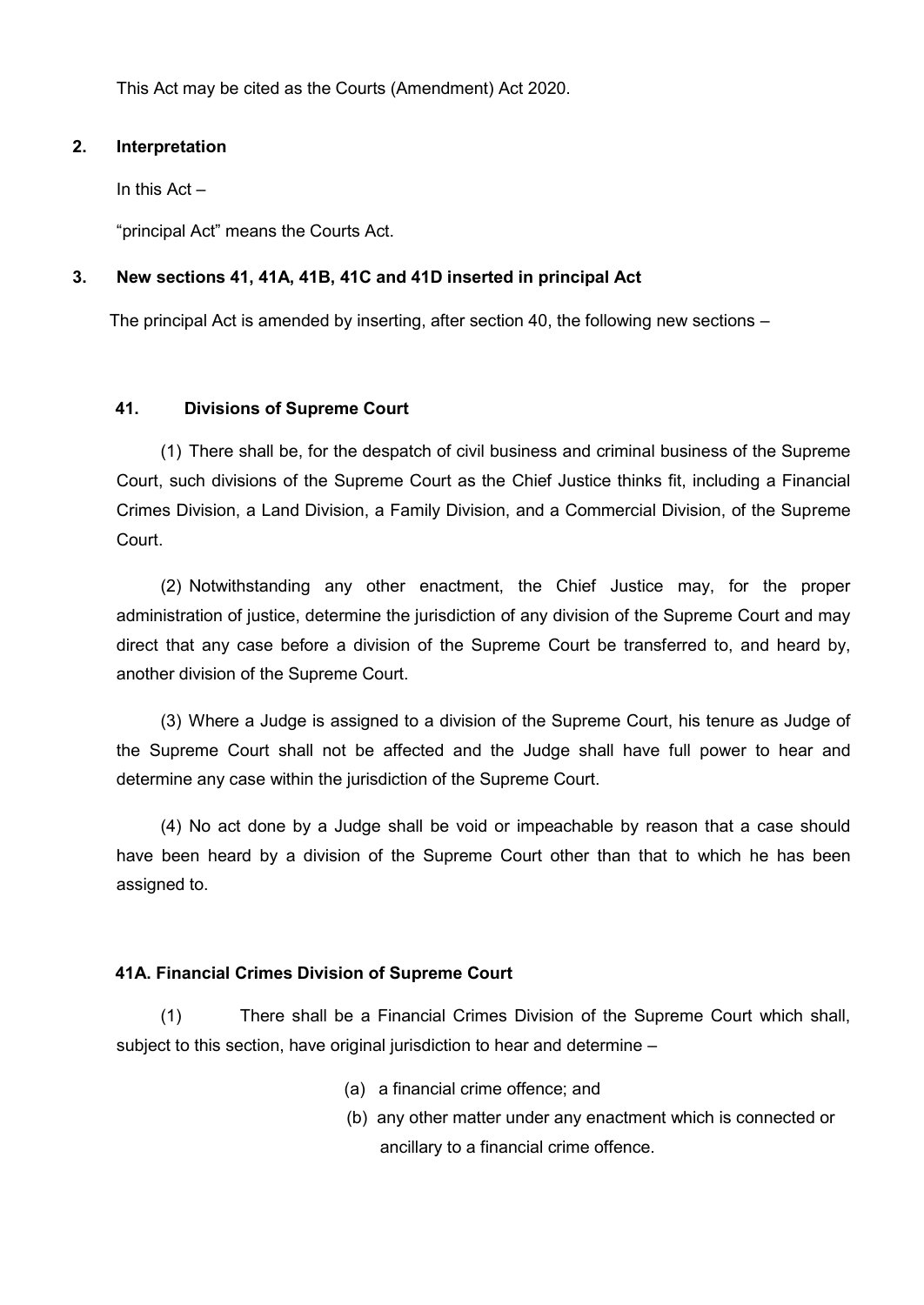This Act may be cited as the Courts (Amendment) Act 2020.

### <span id="page-1-0"></span>**2. Interpretation**

In this Act –

"principal Act" means the Courts Act.

## <span id="page-1-1"></span>**3. New sections 41, 41A, 41B, 41C and 41D inserted in principal Act**

The principal Act is amended by inserting, after section 40, the following new sections –

### **41. Divisions of Supreme Court**

(1) There shall be, for the despatch of civil business and criminal business of the Supreme Court, such divisions of the Supreme Court as the Chief Justice thinks fit, including a Financial Crimes Division, a Land Division, a Family Division, and a Commercial Division, of the Supreme Court.

(2) Notwithstanding any other enactment, the Chief Justice may, for the proper administration of justice, determine the jurisdiction of any division of the Supreme Court and may direct that any case before a division of the Supreme Court be transferred to, and heard by, another division of the Supreme Court.

(3) Where a Judge is assigned to a division of the Supreme Court, his tenure as Judge of the Supreme Court shall not be affected and the Judge shall have full power to hear and determine any case within the jurisdiction of the Supreme Court.

(4) No act done by a Judge shall be void or impeachable by reason that a case should have been heard by a division of the Supreme Court other than that to which he has been assigned to.

## **41A. Financial Crimes Division of Supreme Court**

(1) There shall be a Financial Crimes Division of the Supreme Court which shall, subject to this section, have original jurisdiction to hear and determine –

- (a) a financial crime offence; and
- (b) any other matter under any enactment which is connected or ancillary to a financial crime offence.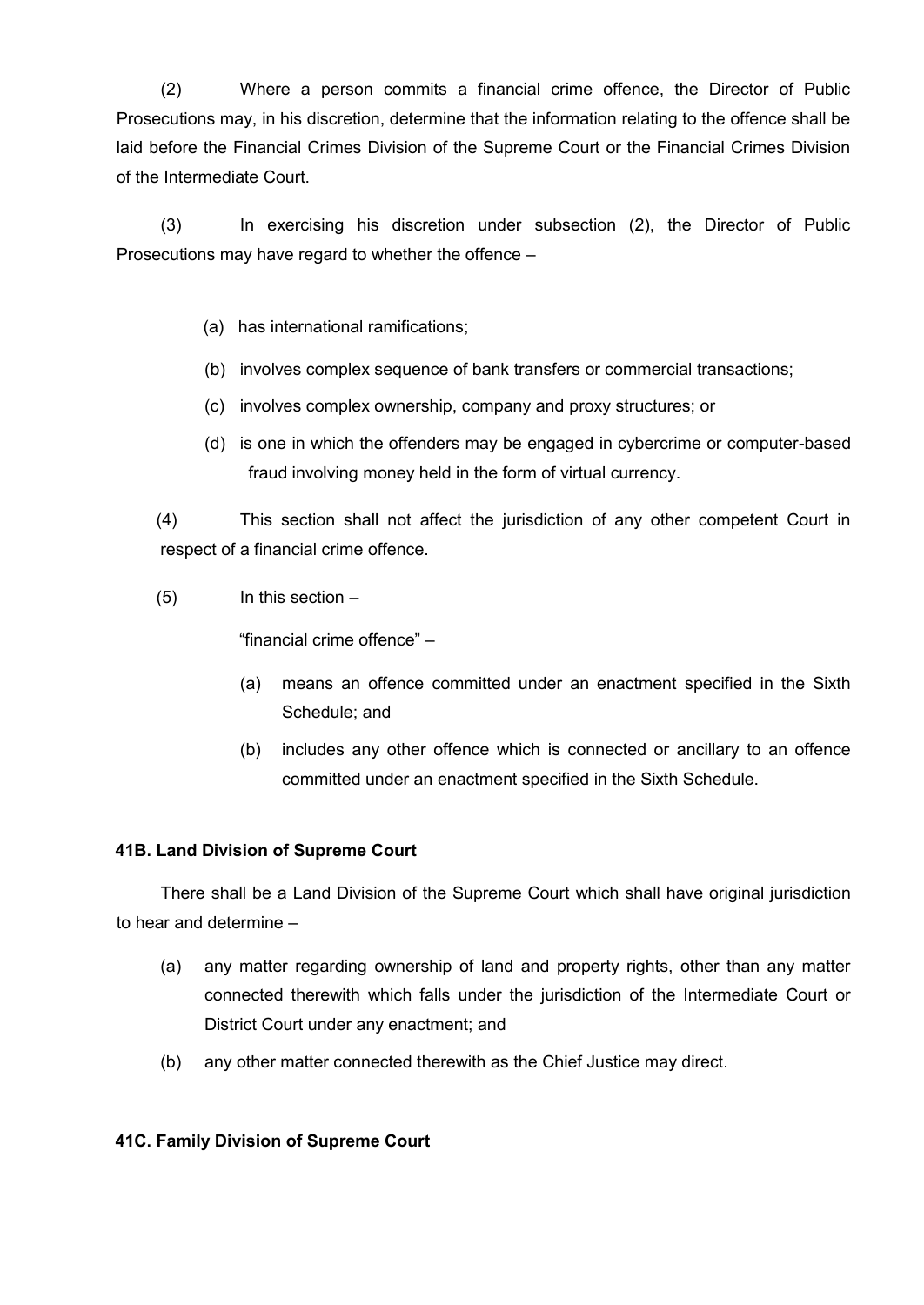(2) Where a person commits a financial crime offence, the Director of Public Prosecutions may, in his discretion, determine that the information relating to the offence shall be laid before the Financial Crimes Division of the Supreme Court or the Financial Crimes Division of the Intermediate Court.

(3) In exercising his discretion under subsection (2), the Director of Public Prosecutions may have regard to whether the offence –

- (a) has international ramifications;
- (b) involves complex sequence of bank transfers or commercial transactions;
- (c) involves complex ownership, company and proxy structures; or
- (d) is one in which the offenders may be engaged in cybercrime or computer-based fraud involving money held in the form of virtual currency.

(4) This section shall not affect the jurisdiction of any other competent Court in respect of a financial crime offence.

 $(5)$  In this section  $-$ 

"financial crime offence" –

- (a) means an offence committed under an enactment specified in the Sixth Schedule; and
- (b) includes any other offence which is connected or ancillary to an offence committed under an enactment specified in the Sixth Schedule.

#### **41B. Land Division of Supreme Court**

There shall be a Land Division of the Supreme Court which shall have original jurisdiction to hear and determine –

- (a) any matter regarding ownership of land and property rights, other than any matter connected therewith which falls under the jurisdiction of the Intermediate Court or District Court under any enactment; and
- (b) any other matter connected therewith as the Chief Justice may direct.

#### **41C. Family Division of Supreme Court**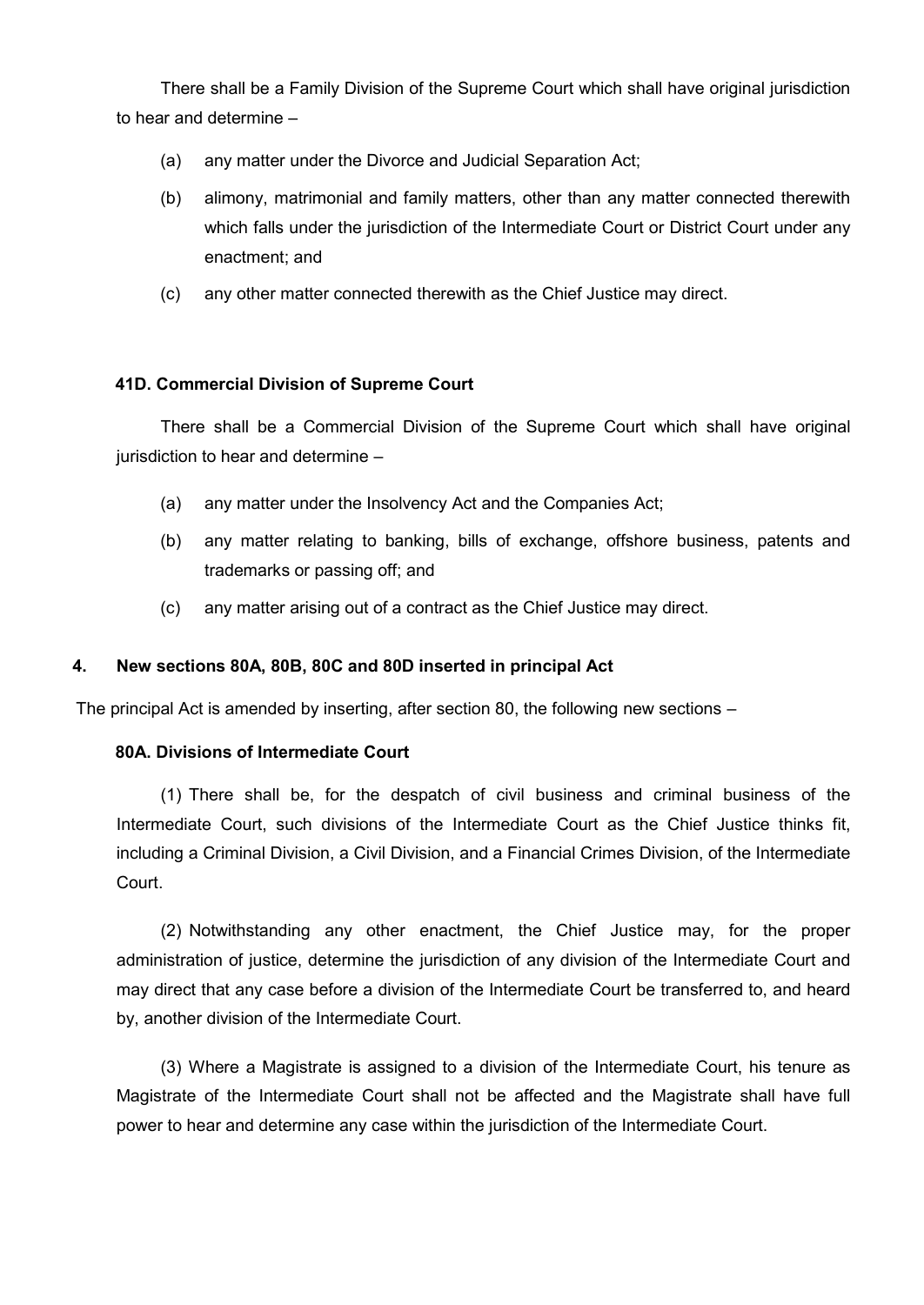There shall be a Family Division of the Supreme Court which shall have original jurisdiction to hear and determine –

- (a) any matter under the Divorce and Judicial Separation Act;
- (b) alimony, matrimonial and family matters, other than any matter connected therewith which falls under the jurisdiction of the Intermediate Court or District Court under any enactment; and
- (c) any other matter connected therewith as the Chief Justice may direct.

### **41D. Commercial Division of Supreme Court**

There shall be a Commercial Division of the Supreme Court which shall have original jurisdiction to hear and determine –

- (a) any matter under the Insolvency Act and the Companies Act;
- (b) any matter relating to banking, bills of exchange, offshore business, patents and trademarks or passing off; and
- (c) any matter arising out of a contract as the Chief Justice may direct.

#### <span id="page-3-0"></span>**4. New sections 80A, 80B, 80C and 80D inserted in principal Act**

The principal Act is amended by inserting, after section 80, the following new sections –

#### **80A. Divisions of Intermediate Court**

(1) There shall be, for the despatch of civil business and criminal business of the Intermediate Court, such divisions of the Intermediate Court as the Chief Justice thinks fit, including a Criminal Division, a Civil Division, and a Financial Crimes Division, of the Intermediate Court.

(2) Notwithstanding any other enactment, the Chief Justice may, for the proper administration of justice, determine the jurisdiction of any division of the Intermediate Court and may direct that any case before a division of the Intermediate Court be transferred to, and heard by, another division of the Intermediate Court.

(3) Where a Magistrate is assigned to a division of the Intermediate Court, his tenure as Magistrate of the Intermediate Court shall not be affected and the Magistrate shall have full power to hear and determine any case within the jurisdiction of the Intermediate Court.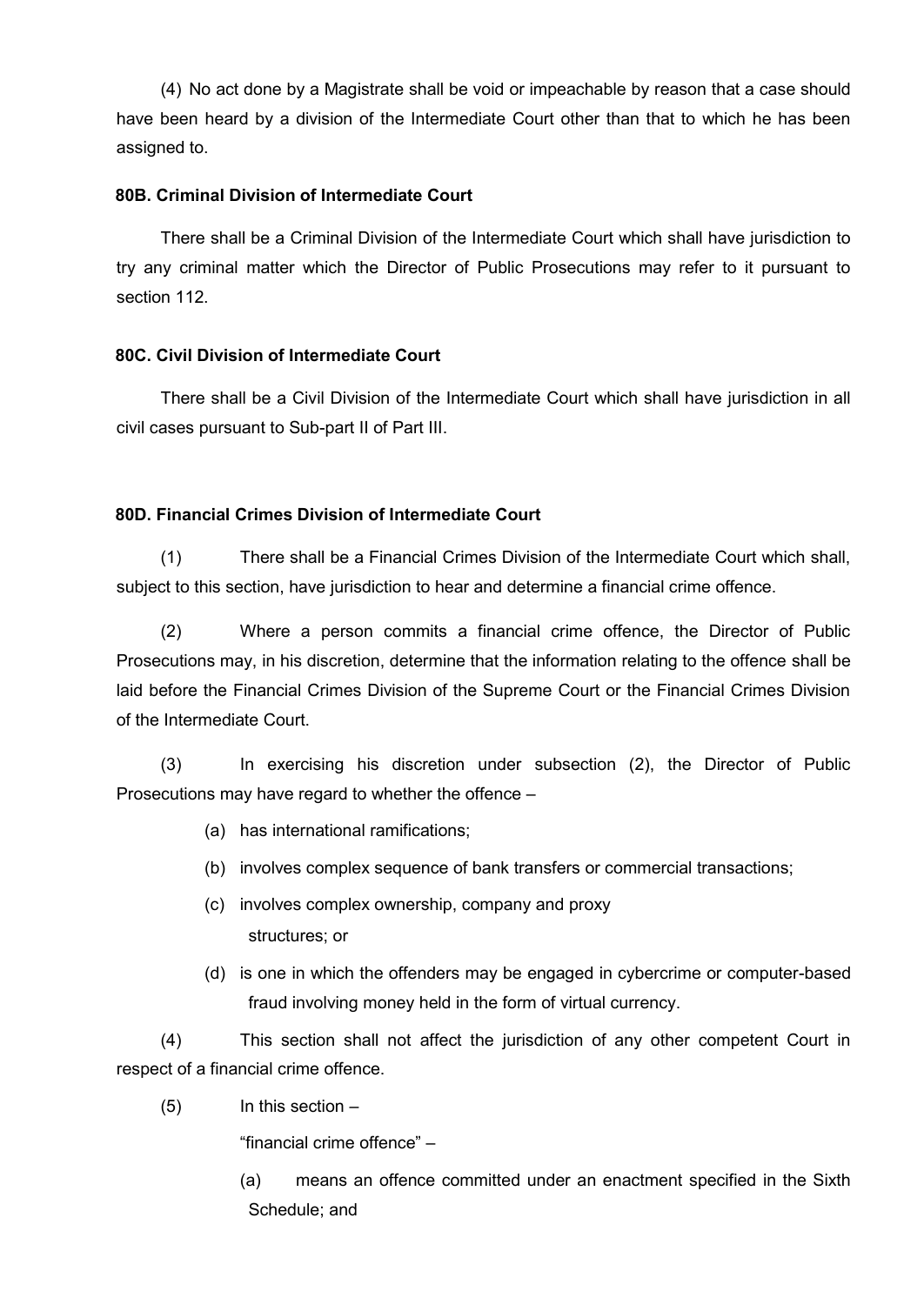(4) No act done by a Magistrate shall be void or impeachable by reason that a case should have been heard by a division of the Intermediate Court other than that to which he has been assigned to.

#### **80B. Criminal Division of Intermediate Court**

There shall be a Criminal Division of the Intermediate Court which shall have jurisdiction to try any criminal matter which the Director of Public Prosecutions may refer to it pursuant to section 112.

## **80C. Civil Division of Intermediate Court**

There shall be a Civil Division of the Intermediate Court which shall have jurisdiction in all civil cases pursuant to Sub-part II of Part III.

#### **80D. Financial Crimes Division of Intermediate Court**

(1) There shall be a Financial Crimes Division of the Intermediate Court which shall, subject to this section, have jurisdiction to hear and determine a financial crime offence.

(2) Where a person commits a financial crime offence, the Director of Public Prosecutions may, in his discretion, determine that the information relating to the offence shall be laid before the Financial Crimes Division of the Supreme Court or the Financial Crimes Division of the Intermediate Court.

(3) In exercising his discretion under subsection (2), the Director of Public Prosecutions may have regard to whether the offence –

- (a) has international ramifications;
- (b) involves complex sequence of bank transfers or commercial transactions;
- (c) involves complex ownership, company and proxy structures; or
- (d) is one in which the offenders may be engaged in cybercrime or computer-based fraud involving money held in the form of virtual currency.

(4) This section shall not affect the jurisdiction of any other competent Court in respect of a financial crime offence.

(5) In this section –

"financial crime offence" –

(a) means an offence committed under an enactment specified in the Sixth Schedule; and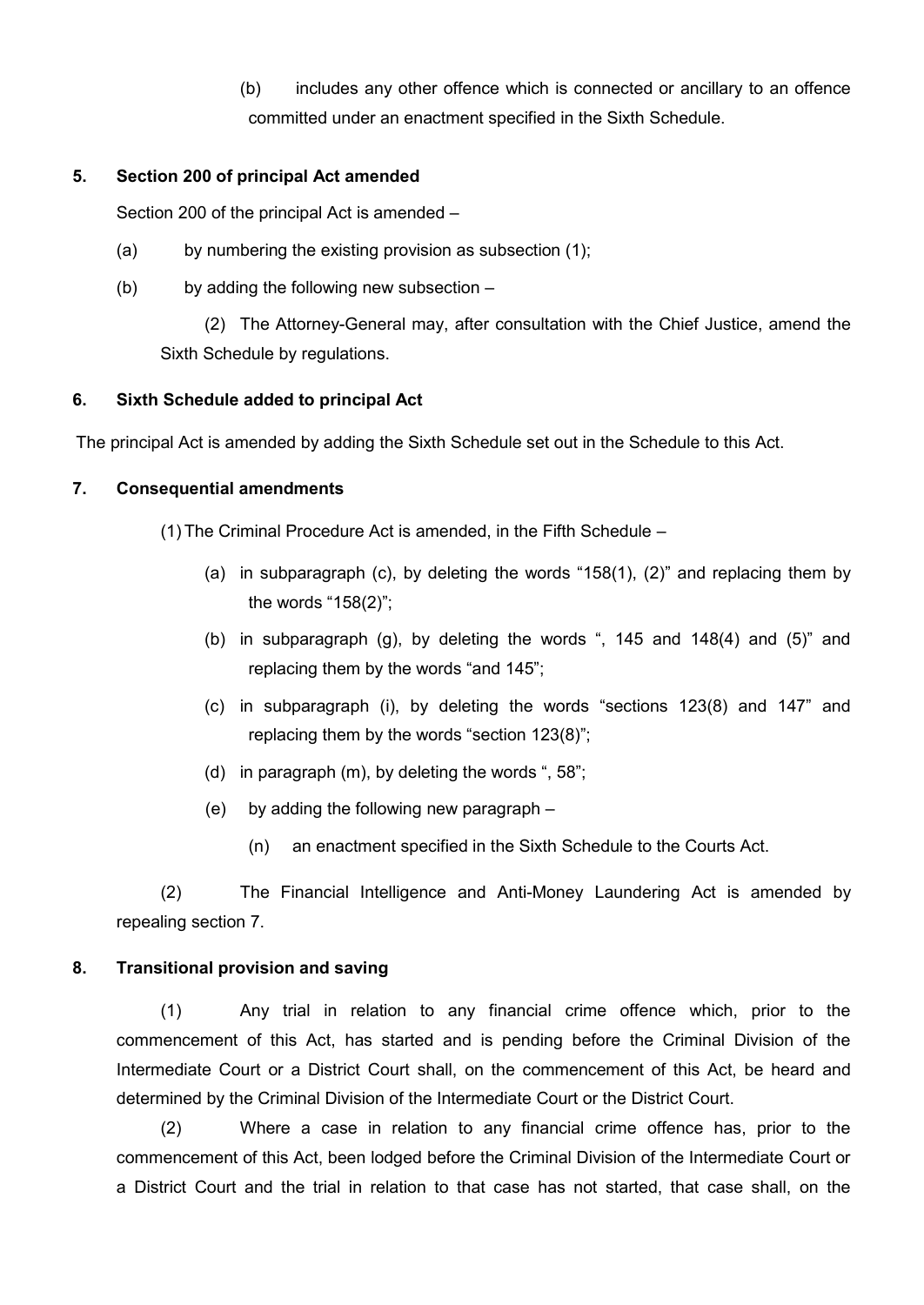(b) includes any other offence which is connected or ancillary to an offence committed under an enactment specified in the Sixth Schedule.

#### <span id="page-5-0"></span>**5. Section 200 of principal Act amended**

Section 200 of the principal Act is amended –

- (a) by numbering the existing provision as subsection (1);
- (b) by adding the following new subsection –

(2) The Attorney-General may, after consultation with the Chief Justice, amend the Sixth Schedule by regulations.

## <span id="page-5-1"></span>**6. Sixth Schedule added to principal Act**

The principal Act is amended by adding the Sixth Schedule set out in the Schedule to this Act.

#### <span id="page-5-2"></span>**7. Consequential amendments**

(1) The Criminal Procedure Act is amended, in the Fifth Schedule –

- (a) in subparagraph (c), by deleting the words "158(1), (2)" and replacing them by the words "158(2)";
- (b) in subparagraph (g), by deleting the words ", 145 and 148(4) and (5)" and replacing them by the words "and 145";
- (c) in subparagraph (i), by deleting the words "sections 123(8) and 147" and replacing them by the words "section 123(8)";
- (d) in paragraph (m), by deleting the words ", 58";
- (e) by adding the following new paragraph
	- (n) an enactment specified in the Sixth Schedule to the Courts Act.

(2) The Financial Intelligence and Anti-Money Laundering Act is amended by repealing section 7.

#### <span id="page-5-3"></span>**8. Transitional provision and saving**

(1) Any trial in relation to any financial crime offence which, prior to the commencement of this Act, has started and is pending before the Criminal Division of the Intermediate Court or a District Court shall, on the commencement of this Act, be heard and determined by the Criminal Division of the Intermediate Court or the District Court.

(2) Where a case in relation to any financial crime offence has, prior to the commencement of this Act, been lodged before the Criminal Division of the Intermediate Court or a District Court and the trial in relation to that case has not started, that case shall, on the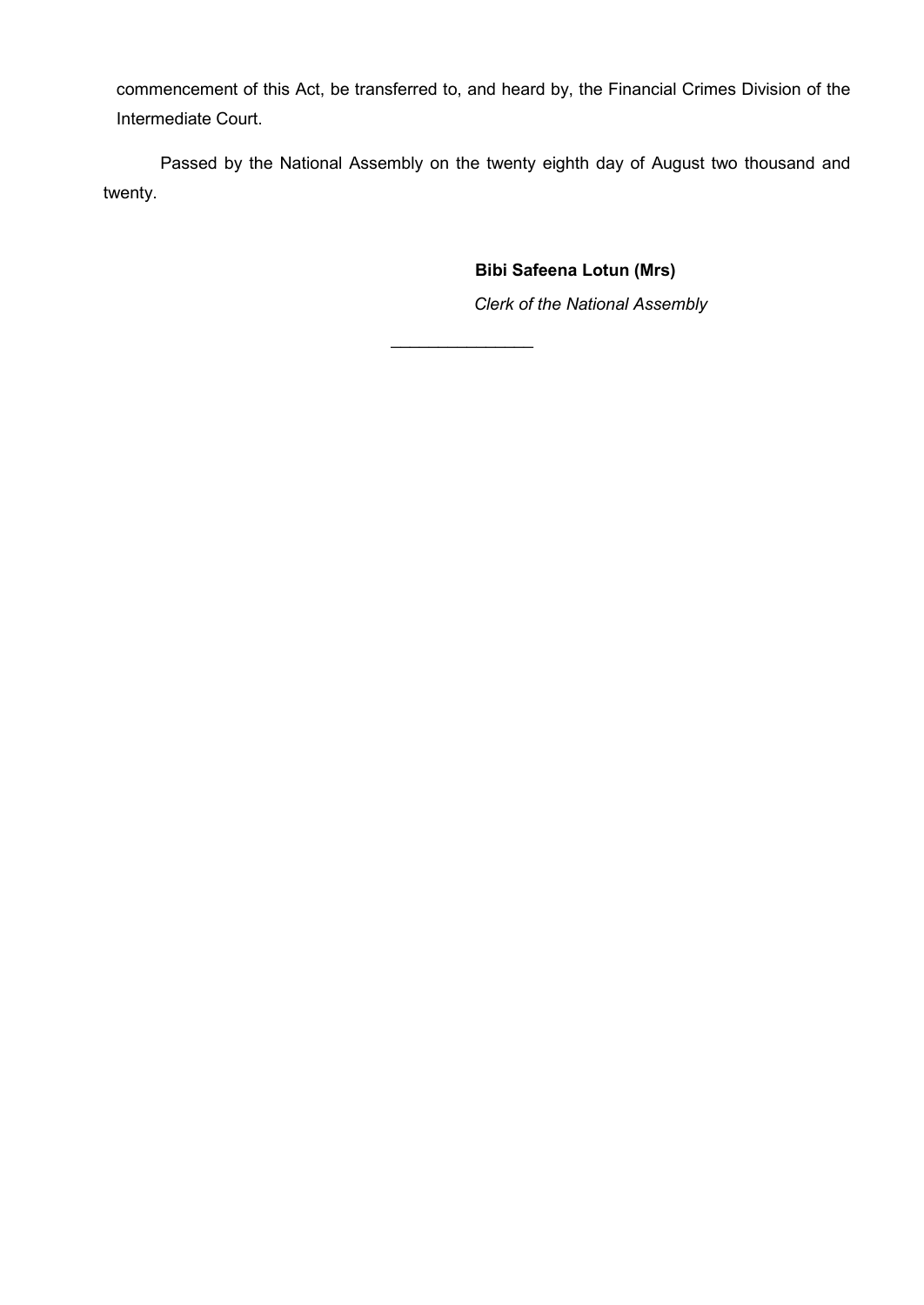commencement of this Act, be transferred to, and heard by, the Financial Crimes Division of the Intermediate Court.

Passed by the National Assembly on the twenty eighth day of August two thousand and twenty.

 $\frac{1}{2}$ 

**Bibi Safeena Lotun (Mrs)**

*Clerk of the National Assembly*